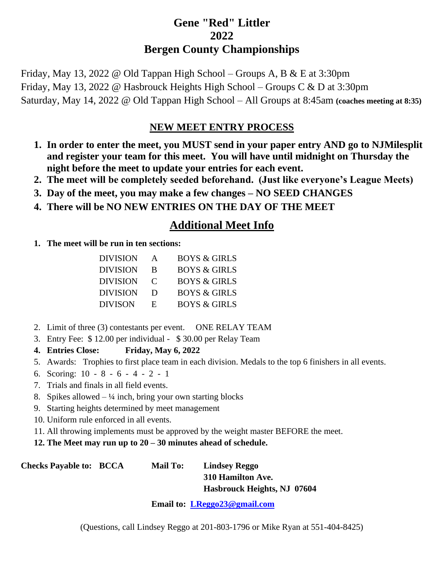## **Gene "Red" Littler 2022 Bergen County Championships**

Friday, May 13, 2022 @ Old Tappan High School – Groups A, B & E at 3:30pm Friday, May 13, 2022 @ Hasbrouck Heights High School – Groups C & D at 3:30pm Saturday, May 14, 2022 @ Old Tappan High School – All Groups at 8:45am **(coaches meeting at 8:35)**

## **NEW MEET ENTRY PROCESS**

- **1. In order to enter the meet, you MUST send in your paper entry AND go to NJMilesplit and register your team for this meet. You will have until midnight on Thursday the night before the meet to update your entries for each event.**
- **2. The meet will be completely seeded beforehand. (Just like everyone's League Meets)**
- **3. Day of the meet, you may make a few changes – NO SEED CHANGES**
- **4. There will be NO NEW ENTRIES ON THE DAY OF THE MEET**

## **Additional Meet Info**

**1. The meet will be run in ten sections:**

| DIVISION | A             | <b>BOYS &amp; GIRLS</b> |
|----------|---------------|-------------------------|
| DIVISION | R             | <b>BOYS &amp; GIRLS</b> |
| DIVISION | $\mathcal{C}$ | <b>BOYS &amp; GIRLS</b> |
| DIVISION | D             | <b>BOYS &amp; GIRLS</b> |
| DIVISON  | Е.            | <b>BOYS &amp; GIRLS</b> |

- 2. Limit of three (3) contestants per event. ONE RELAY TEAM
- 3. Entry Fee: \$ 12.00 per individual \$ 30.00 per Relay Team
- **4. Entries Close: Friday, May 6, 2022**
- 5. Awards: Trophies to first place team in each division. Medals to the top 6 finishers in all events.
- 6. Scoring: 10 8 6 4 2 1
- 7. Trials and finals in all field events.
- 8. Spikes allowed  $-$  ¼ inch, bring your own starting blocks
- 9. Starting heights determined by meet management
- 10. Uniform rule enforced in all events.
- 11. All throwing implements must be approved by the weight master BEFORE the meet.
- **12. The Meet may run up to 20 – 30 minutes ahead of schedule.**

**Checks Payable to: BCCA Mail To: Lindsey Reggo**

**310 Hamilton Ave. Hasbrouck Heights, NJ 07604**

**Email to: [LReggo23@gmail.com](mailto:LReggo23@gmail.com)**

(Questions, call Lindsey Reggo at 201-803-1796 or Mike Ryan at 551-404-8425)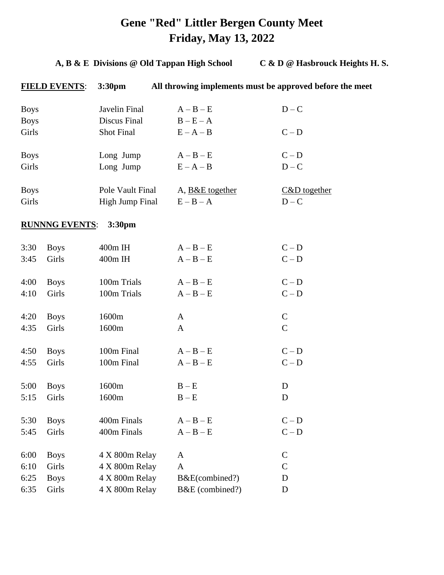# **Gene "Red" Littler Bergen County Meet Friday, May 13, 2022**

## **A, B & E Divisions @ Old Tappan High School C & D @ Hasbrouck Heights H. S.**

|             | <b>FIELD EVENTS:</b>  | 3:30pm             | All throwing implements must be approved before the meet |                |
|-------------|-----------------------|--------------------|----------------------------------------------------------|----------------|
| <b>Boys</b> |                       | Javelin Final      | $A - B - E$                                              | $D - C$        |
| <b>Boys</b> |                       | Discus Final       | $B - E - A$                                              |                |
| Girls       |                       | <b>Shot Final</b>  | $E - A - B$                                              | $C - D$        |
| <b>Boys</b> |                       | Long Jump          | $A - B - E$                                              | $C - D$        |
| Girls       |                       | Long Jump          | $E - A - B$                                              | $D - C$        |
| <b>Boys</b> |                       | Pole Vault Final   | A, B&E together                                          | $C&D$ together |
| Girls       |                       | High Jump Final    | $E - B - A$                                              | $D - C$        |
|             | <b>RUNNNG EVENTS:</b> | 3:30 <sub>pm</sub> |                                                          |                |
| 3:30        | <b>Boys</b>           | 400m IH            | $A - B - E$                                              | $C - D$        |
| 3:45        | Girls                 | 400m IH            | $A - B - E$                                              | $C - D$        |
| 4:00        | <b>Boys</b>           | 100m Trials        | $A - B - E$                                              | $C - D$        |
| 4:10        | Girls                 | 100m Trials        | $A - B - E$                                              | $C - D$        |
| 4:20        | <b>Boys</b>           | 1600m              | A                                                        | $\mathbf C$    |
| 4:35        | Girls                 | 1600m              | A                                                        | $\mathcal{C}$  |
| 4:50        | <b>Boys</b>           | 100m Final         | $A - B - E$                                              | $C - D$        |
| 4:55        | Girls                 | 100m Final         | $A - B - E$                                              | $C - D$        |
| 5:00        | <b>Boys</b>           | 1600m              | $B - E$                                                  | D              |
| 5:15        | Girls                 | 1600m              | $B - E$                                                  | D              |
| 5:30        | <b>Boys</b>           | 400m Finals        | $A - B - E$                                              | $C - D$        |
| 5:45        | Girls                 | 400m Finals        | $A - B - E$                                              | $C - D$        |
| 6:00        | <b>Boys</b>           | 4 X 800m Relay     | A                                                        | $\mathsf{C}$   |
| 6:10        | Girls                 | 4 X 800m Relay     | A                                                        | $\mathcal{C}$  |
| 6:25        | <b>Boys</b>           | 4 X 800m Relay     | B&E(combined?)                                           | D              |
| 6:35        | Girls                 | 4 X 800m Relay     | B&E (combined?)                                          | D              |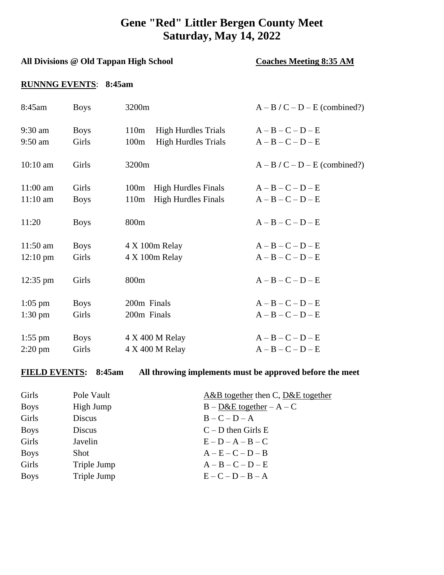## **Gene "Red" Littler Bergen County Meet Saturday, May 14, 2022**

### All Divisions @ Old Tappan High School **Coaches Meeting 8:35 AM**

### **RUNNNG EVENTS**: **8:45am**

| 8:45am             | <b>Boys</b> | 3200m                                          | $A - B / C - D - E$ (combined?) |
|--------------------|-------------|------------------------------------------------|---------------------------------|
| $9:30$ am          | <b>Boys</b> | 110 <sub>m</sub><br><b>High Hurdles Trials</b> | $A - B - C - D - E$             |
| $9:50$ am          | Girls       | <b>High Hurdles Trials</b><br>100m             | $A - B - C - D - E$             |
| $10:10$ am         | Girls       | 3200m                                          | $A - B / C - D - E$ (combined?) |
| $11:00$ am         | Girls       | <b>High Hurdles Finals</b><br>100m             | $A - B - C - D - E$             |
| $11:10$ am         | <b>Boys</b> | <b>High Hurdles Finals</b><br>110m             | $A - B - C - D - E$             |
| 11:20              | <b>Boys</b> | 800 <sub>m</sub>                               | $A - B - C - D - E$             |
| $11:50$ am         | <b>Boys</b> | 4 X 100m Relay                                 | $A - B - C - D - E$             |
| $12:10 \text{ pm}$ | Girls       | 4 X 100m Relay                                 | $A - B - C - D - E$             |
| $12:35 \text{ pm}$ | Girls       | 800m                                           | $A - B - C - D - E$             |
| $1:05$ pm          | <b>Boys</b> | 200m Finals                                    | $A - B - C - D - E$             |
| $1:30 \text{ pm}$  | Girls       | 200m Finals                                    | $A - B - C - D - E$             |
| $1:55$ pm          | <b>Boys</b> | 4 X 400 M Relay                                | $A - B - C - D - E$             |
| $2:20 \text{ pm}$  | Girls       | 4 X 400 M Relay                                | $A - B - C - D - E$             |

### **FIELD EVENTS: 8:45am All throwing implements must be approved before the meet**

| Girls       | Pole Vault  | A&B together then C, $D&E$ together |
|-------------|-------------|-------------------------------------|
| <b>Boys</b> | High Jump   | $B - D & E$ together $- A - C$      |
| Girls       | Discus      | $B - C - D - A$                     |
| <b>Boys</b> | Discus      | $C - D$ then Girls E                |
| Girls       | Javelin     | $E - D - A - B - C$                 |
| <b>Boys</b> | <b>Shot</b> | $A - E - C - D - B$                 |
| Girls       | Triple Jump | $A - B - C - D - E$                 |
| <b>Boys</b> | Triple Jump | $E - C - D - B - A$                 |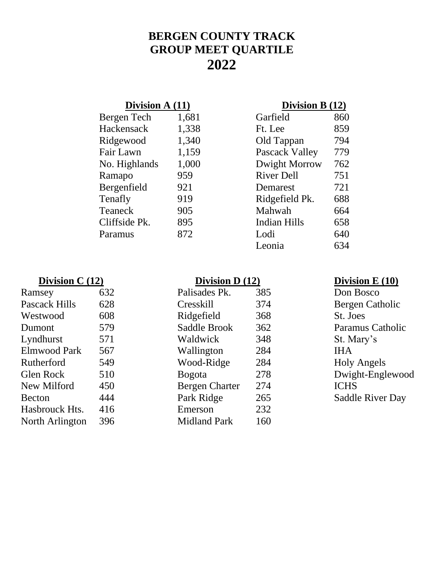# **BERGEN COUNTY TRACK GROUP MEET QUARTILE 2022**

## **Division A (11) Division B (12)**

| Bergen Tech   | 1,681 | Garfield              | 860 |
|---------------|-------|-----------------------|-----|
| Hackensack    | 1,338 | Ft. Lee               | 859 |
| Ridgewood     | 1,340 | Old Tappan            | 794 |
| Fair Lawn     | 1,159 | <b>Pascack Valley</b> | 779 |
| No. Highlands | 1,000 | Dwight Morrow         | 762 |
| Ramapo        | 959   | <b>River Dell</b>     | 751 |
| Bergenfield   | 921   | Demarest              | 721 |
| Tenafly       | 919   | Ridgefield Pk.        | 688 |
| Teaneck       | 905   | Mahwah                | 664 |
| Cliffside Pk. | 895   | <b>Indian Hills</b>   | 658 |
| Paramus       | 872   | Lodi                  | 640 |
|               |       |                       |     |

| Garfield              | 860 |
|-----------------------|-----|
| Ft. Lee               | 859 |
| Old Tappan            | 794 |
| <b>Pascack Valley</b> | 779 |
| Dwight Morrow         | 762 |
| <b>River Dell</b>     | 751 |
| Demarest              | 721 |
| Ridgefield Pk.        | 688 |
| Mahwah                | 664 |
| Indian Hills          | 658 |
| Lodi                  | 640 |
| Leonia                | 634 |
|                       |     |

## **Division C (12) Division D (12) Division E (10) Division E (10)**

| Ramsey          | 632 | Palisades Pk.       | 385 | Don Bosco          |
|-----------------|-----|---------------------|-----|--------------------|
| Pascack Hills   | 628 | <b>Cresskill</b>    | 374 | Bergen Catholic    |
| Westwood        | 608 | Ridgefield          | 368 | St. Joes           |
| Dumont          | 579 | Saddle Brook        | 362 | Paramus Catholic   |
| Lyndhurst       | 571 | Waldwick            | 348 | St. Mary's         |
| Elmwood Park    | 567 | Wallington          | 284 | <b>IHA</b>         |
| Rutherford      | 549 | Wood-Ridge          | 284 | <b>Holy Angels</b> |
| Glen Rock       | 510 | <b>Bogota</b>       | 278 | Dwight-Englewood   |
| New Milford     | 450 | Bergen Charter      | 274 | <b>ICHS</b>        |
| <b>Becton</b>   | 444 | Park Ridge          | 265 | Saddle River Day   |
| Hasbrouck Hts.  | 416 | Emerson             | 232 |                    |
| North Arlington | 396 | <b>Midland Park</b> | 160 |                    |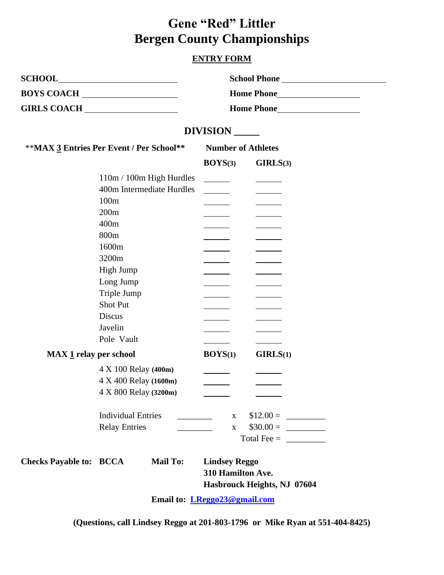# **Gene "Red" Littler Bergen County Championships**

### **ENTRY FORM**

J.

|                                          | BOYS COACH                                                                                                                                                                                      |                                           |                                                                |  |
|------------------------------------------|-------------------------------------------------------------------------------------------------------------------------------------------------------------------------------------------------|-------------------------------------------|----------------------------------------------------------------|--|
|                                          |                                                                                                                                                                                                 |                                           |                                                                |  |
|                                          |                                                                                                                                                                                                 | DIVISION                                  |                                                                |  |
| **MAX 3 Entries Per Event / Per School** |                                                                                                                                                                                                 |                                           | <b>Number of Athletes</b>                                      |  |
|                                          |                                                                                                                                                                                                 | $\text{BOYS}(3)$                          | GIRLS(3)                                                       |  |
|                                          | 110m / 100m High Hurdles<br>400m Intermediate Hurdles<br>100m<br>200m<br>400m<br>800m<br>1600m<br>3200m<br>High Jump<br>Long Jump<br>Triple Jump<br><b>Shot Put</b><br><b>Discus</b><br>Javelin | $\overline{\phantom{a}}$                  |                                                                |  |
| MAX 1 relay per school                   | Pole Vault                                                                                                                                                                                      | $\text{BOYS}(1)$                          | GIRLS(1)                                                       |  |
|                                          | 4 X 100 Relay (400m)<br>4 X 400 Relay (1600m)<br>4 X 800 Relay (3200m)<br><b>Individual Entries</b>                                                                                             | $\mathbf{X}$                              |                                                                |  |
|                                          | <b>Relay Entries</b>                                                                                                                                                                            | $\mathbf{X}$                              | Total Fee = $\frac{1}{\sqrt{1-\frac{1}{2}} \cdot \frac{1}{2}}$ |  |
| <b>Checks Payable to: BCCA</b>           | <b>Mail To:</b>                                                                                                                                                                                 | <b>Lindsey Reggo</b><br>310 Hamilton Ave. |                                                                |  |

**Email to: [LReggo23@gmail.com](mailto:LReggo23@gmail.com)**

**(Questions, call Lindsey Reggo at 201-803-1796 or Mike Ryan at 551-404-8425)**

**Hasbrouck Heights, NJ 07604**